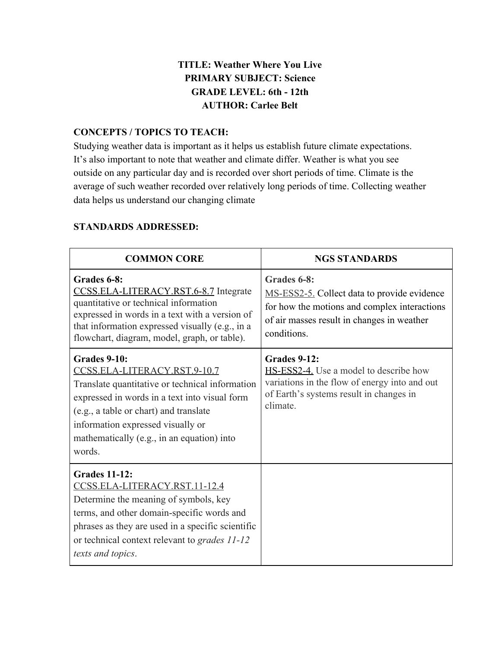# **TITLE: Weather Where You Live PRIMARY SUBJECT: Science GRADE LEVEL: 6th - 12th AUTHOR: Carlee Belt**

# **CONCEPTS / TOPICS TO TEACH:**

Studying weather data is important as it helps us establish future climate expectations. It's also important to note that weather and climate differ. Weather is what you see outside on any particular day and is recorded over short periods of time. Climate is the average of such weather recorded over relatively long periods of time. Collecting weather data helps us understand our changing climate

| <b>COMMON CORE</b>                                                                                                                                                                                                                                                                      | <b>NGS STANDARDS</b>                                                                                                                                                    |  |  |  |
|-----------------------------------------------------------------------------------------------------------------------------------------------------------------------------------------------------------------------------------------------------------------------------------------|-------------------------------------------------------------------------------------------------------------------------------------------------------------------------|--|--|--|
| Grades 6-8:<br>CCSS.ELA-LITERACY.RST.6-8.7 Integrate<br>quantitative or technical information<br>expressed in words in a text with a version of<br>that information expressed visually (e.g., in a<br>flowchart, diagram, model, graph, or table).                                      | Grades 6-8:<br>MS-ESS2-5. Collect data to provide evidence<br>for how the motions and complex interactions<br>of air masses result in changes in weather<br>conditions. |  |  |  |
| Grades 9-10:<br>CCSS.ELA-LITERACY.RST.9-10.7<br>Translate quantitative or technical information<br>expressed in words in a text into visual form<br>(e.g., a table or chart) and translate<br>information expressed visually or<br>mathematically (e.g., in an equation) into<br>words. | <b>Grades 9-12:</b><br>HS-ESS2-4. Use a model to describe how<br>variations in the flow of energy into and out<br>of Earth's systems result in changes in<br>climate.   |  |  |  |
| <b>Grades 11-12:</b><br>CCSS.ELA-LITERACY.RST.11-12.4<br>Determine the meaning of symbols, key<br>terms, and other domain-specific words and<br>phrases as they are used in a specific scientific<br>or technical context relevant to grades 11-12<br>texts and topics.                 |                                                                                                                                                                         |  |  |  |

# **STANDARDS ADDRESSED:**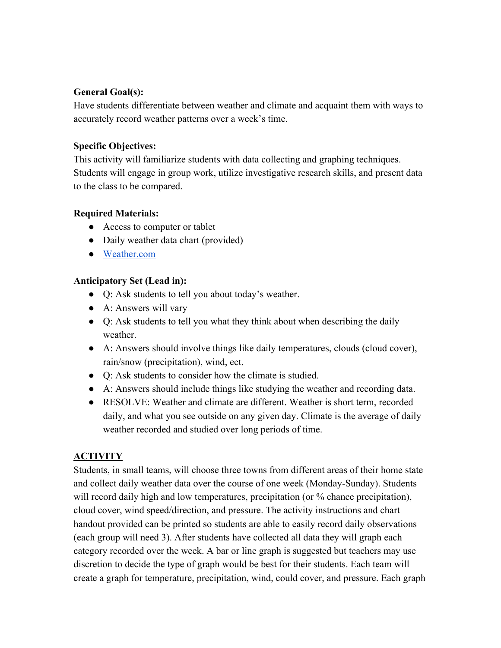# **General Goal(s):**

Have students differentiate between weather and climate and acquaint them with ways to accurately record weather patterns over a week's time.

# **Specific Objectives:**

This activity will familiarize students with data collecting and graphing techniques. Students will engage in group work, utilize investigative research skills, and present data to the class to be compared.

# **Required Materials:**

- Access to computer or tablet
- Daily weather data chart (provided)
- [Weather.com](https://weather.com/)

# **Anticipatory Set (Lead in):**

- Q: Ask students to tell you about today's weather.
- A: Answers will vary
- Q: Ask students to tell you what they think about when describing the daily weather
- A: Answers should involve things like daily temperatures, clouds (cloud cover), rain/snow (precipitation), wind, ect.
- Q: Ask students to consider how the climate is studied.
- A: Answers should include things like studying the weather and recording data.
- RESOLVE: Weather and climate are different. Weather is short term, recorded daily, and what you see outside on any given day. Climate is the average of daily weather recorded and studied over long periods of time.

# **ACTIVITY**

Students, in small teams, will choose three towns from different areas of their home state and collect daily weather data over the course of one week (Monday-Sunday). Students will record daily high and low temperatures, precipitation (or % chance precipitation), cloud cover, wind speed/direction, and pressure. The activity instructions and chart handout provided can be printed so students are able to easily record daily observations (each group will need 3). After students have collected all data they will graph each category recorded over the week. A bar or line graph is suggested but teachers may use discretion to decide the type of graph would be best for their students. Each team will create a graph for temperature, precipitation, wind, could cover, and pressure. Each graph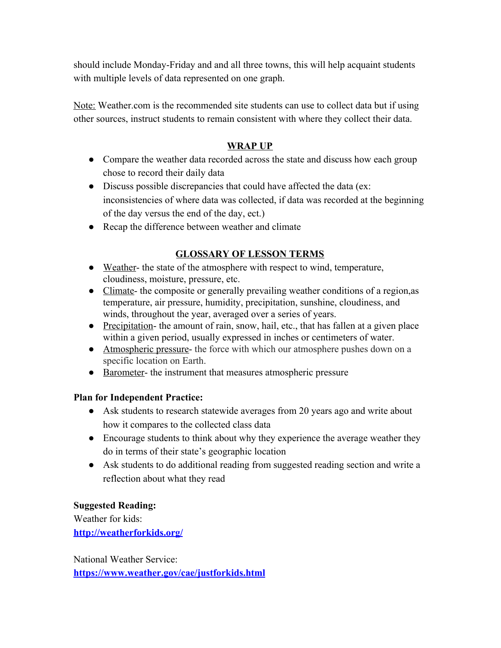should include Monday-Friday and and all three towns, this will help acquaint students with multiple levels of data represented on one graph.

Note: Weather.com is the recommended site students can use to collect data but if using other sources, instruct students to remain consistent with where they collect their data.

### **WRAP UP**

- Compare the weather data recorded across the state and discuss how each group chose to record their daily data
- Discuss possible discrepancies that could have affected the data (ex: inconsistencies of where data was collected, if data was recorded at the beginning of the day versus the end of the day, ect.)
- Recap the difference between weather and climate

# **GLOSSARY OF LESSON TERMS**

- Weather- the state of the atmosphere with respect to wind, temperature, cloudiness, moisture, pressure, etc.
- Climate- the composite or generally prevailing weather conditions of a region, as temperature, air pressure, humidity, precipitation, sunshine, cloudiness, and winds, throughout the year, averaged over a series of years.
- Precipitation- the amount of rain, snow, hail, etc., that has fallen at a given place within a given period, usually expressed in inches or centimeters of water.
- Atmospheric pressure- the force with which our atmosphere pushes down on a specific location on Earth.
- Barometer- the instrument that measures atmospheric pressure

#### **Plan for Independent Practice:**

- Ask students to research statewide averages from 20 years ago and write about how it compares to the collected class data
- Encourage students to think about why they experience the average weather they do in terms of their state's geographic location
- Ask students to do additional reading from suggested reading section and write a reflection about what they read

#### **Suggested Reading:**

Weather for kids: **<http://weatherforkids.org/>**

National Weather Service: **<https://www.weather.gov/cae/justforkids.html>**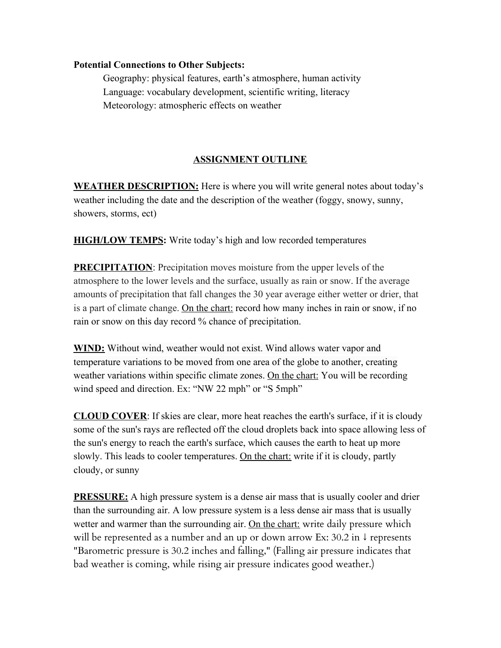#### **Potential Connections to Other Subjects:**

Geography: physical features, earth's atmosphere, human activity Language: vocabulary development, scientific writing, literacy Meteorology: atmospheric effects on weather

# **ASSIGNMENT OUTLINE**

**WEATHER DESCRIPTION:** Here is where you will write general notes about today's weather including the date and the description of the weather (foggy, snowy, sunny, showers, storms, ect)

**HIGH/LOW TEMPS:** Write today's high and low recorded temperatures

**PRECIPITATION**: Precipitation moves moisture from the upper levels of the atmosphere to the lower levels and the surface, usually as rain or snow. If the average amounts of precipitation that fall changes the 30 year average either wetter or drier, that is a part of climate change. On the chart: record how many inches in rain or snow, if no rain or snow on this day record % chance of precipitation.

**WIND:** Without wind, weather would not exist. Wind allows water vapor and temperature variations to be moved from one area of the globe to another, creating weather variations within specific climate zones. On the chart: You will be recording wind speed and direction. Ex: "NW 22 mph" or "S 5mph"

**CLOUD COVER**: If skies are clear, more heat reaches the earth's surface, if it is cloudy some of the sun's rays are reflected off the cloud droplets back into space allowing less of the sun's energy to reach the earth's surface, which causes the earth to heat up more slowly. This leads to cooler temperatures. On the chart: write if it is cloudy, partly cloudy, or sunny

**PRESSURE:** A high pressure system is a dense air mass that is usually cooler and drier than the surrounding air. A low pressure system is a less dense air mass that is usually wetter and warmer than the surrounding air. On the chart: write daily pressure which will be represented as a number and an up or down arrow Ex: 30.2 in ↓ represents "Barometric pressure is 30.2 inches and falling," (Falling air pressure indicates that bad weather is coming, while rising air pressure indicates good weather.)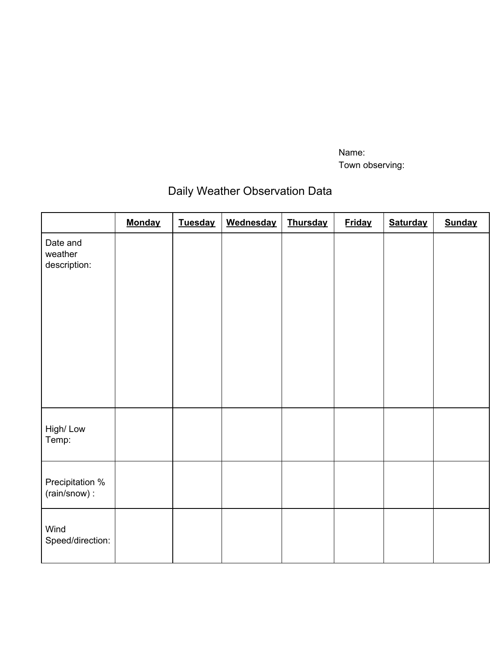Name: Town observing:

# Daily Weather Observation Data

|                                     | <b>Monday</b> | <b>Tuesday</b> | Wednesday | <b>Thursday</b> | <b>Friday</b> | <b>Saturday</b> | <b>Sunday</b> |
|-------------------------------------|---------------|----------------|-----------|-----------------|---------------|-----------------|---------------|
| Date and<br>weather<br>description: |               |                |           |                 |               |                 |               |
|                                     |               |                |           |                 |               |                 |               |
| High/Low<br>Temp:                   |               |                |           |                 |               |                 |               |
| Precipitation %<br>(rain/snow):     |               |                |           |                 |               |                 |               |
| Wind<br>Speed/direction:            |               |                |           |                 |               |                 |               |